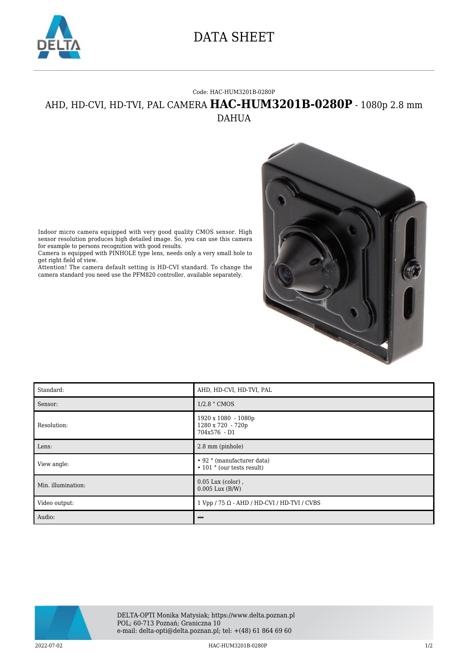

## DATA SHEET

## Code: HAC-HUM3201B-0280P

## AHD, HD-CVI, HD-TVI, PAL CAMERA **HAC-HUM3201B-0280P** - 1080p 2.8 mm DAHUA



Indoor micro camera equipped with very good quality CMOS sensor. High sensor resolution produces high detailed image. So, you can use this camera for example to persons recognition with good results.

Camera is equipped with PINHOLE type lens, needs only a very small hole to get right field of view.

Attention! The camera default setting is HD-CVI standard. To change the camera standard you need use the PFM820 controller, available separately.

| Standard:          | AHD, HD-CVI, HD-TVI, PAL                                               |
|--------------------|------------------------------------------------------------------------|
| Sensor:            | 1/2.8 " CMOS                                                           |
| Resolution:        | 1920 x 1080 - 1080p<br>1280 x 720 - 720p<br>704x576 - D1               |
| Lens:              | 2.8 mm (pinhole)                                                       |
| View angle:        | • 92 ° (manufacturer data)<br>$\cdot$ 101 $\degree$ (our tests result) |
| Min. illumination: | $0.05$ Lux (color),<br>$0.005$ Lux $(B/W)$                             |
| Video output:      | $1 Vpp / 75 \Omega - AHD / HD-CVI / HD-TVI / CVBS$                     |
| Audio:             |                                                                        |



2022-07-02 HAC-HUM3201B-0280P 1/2